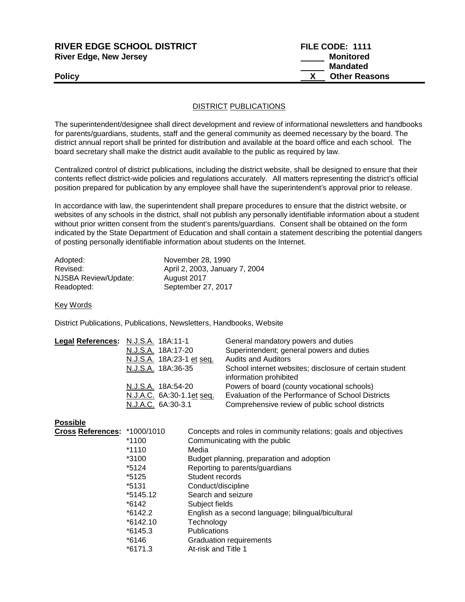| RIVER EDGE SCHOOL DISTRICT    | FILE CODE: 1111      |
|-------------------------------|----------------------|
| <b>River Edge, New Jersey</b> | Monitored            |
|                               | Mandated             |
| <b>Policy</b>                 | <b>Other Reasons</b> |
|                               |                      |

## DISTRICT PUBLICATIONS

The superintendent/designee shall direct development and review of informational newsletters and handbooks for parents/guardians, students, staff and the general community as deemed necessary by the board. The district annual report shall be printed for distribution and available at the board office and each school. The board secretary shall make the district audit available to the public as required by law.

Centralized control of district publications, including the district website, shall be designed to ensure that their contents reflect district-wide policies and regulations accurately. All matters representing the district's official position prepared for publication by any employee shall have the superintendent's approval prior to release.

In accordance with law, the superintendent shall prepare procedures to ensure that the district website, or websites of any schools in the district, shall not publish any personally identifiable information about a student without prior written consent from the student's parents/guardians. Consent shall be obtained on the form indicated by the State Department of Education and shall contain a statement describing the potential dangers of posting personally identifiable information about students on the Internet.

| Adopted:             | November 28, 1990              |
|----------------------|--------------------------------|
| Revised:             | April 2, 2003, January 7, 2004 |
| NJSBA Review/Update: | August 2017                    |
| Readopted:           | September 27, 2017             |

Key Words

District Publications, Publications, Newsletters, Handbooks, Website

| Legal References: N.J.S.A. 18A:11-1 |                           | General mandatory powers and duties                     |
|-------------------------------------|---------------------------|---------------------------------------------------------|
|                                     | N.J.S.A. 18A:17-20        | Superintendent; general powers and duties               |
|                                     | N.J.S.A. 18A:23-1 et seq. | <b>Audits and Auditors</b>                              |
|                                     | N.J.S.A. 18A:36-35        | School internet websites; disclosure of certain student |
|                                     |                           | information prohibited                                  |
|                                     | N.J.S.A. 18A:54-20        | Powers of board (county vocational schools)             |
|                                     | N.J.A.C. 6A:30-1.1et seq. | Evaluation of the Performance of School Districts       |
|                                     | N.J.A.C. 6A:30-3.1        | Comprehensive review of public school districts         |
|                                     |                           |                                                         |

## **Possible**

| Cross References: *1000/1010 |            | Concepts and roles in community relations; goals and objectives |
|------------------------------|------------|-----------------------------------------------------------------|
|                              | *1100      | Communicating with the public                                   |
|                              | *1110      | Media                                                           |
|                              | $*3100$    | Budget planning, preparation and adoption                       |
|                              | *5124      | Reporting to parents/guardians                                  |
|                              | *5125      | Student records                                                 |
|                              | *5131      | Conduct/discipline                                              |
|                              | *5145.12   | Search and seizure                                              |
|                              | *6142      | Subject fields                                                  |
|                              | $*6142.2$  | English as a second language; bilingual/bicultural              |
|                              | $*6142.10$ | Technology                                                      |
|                              | $*6145.3$  | <b>Publications</b>                                             |
|                              | *6146      | <b>Graduation requirements</b>                                  |
|                              | $*6171.3$  | At-risk and Title 1                                             |